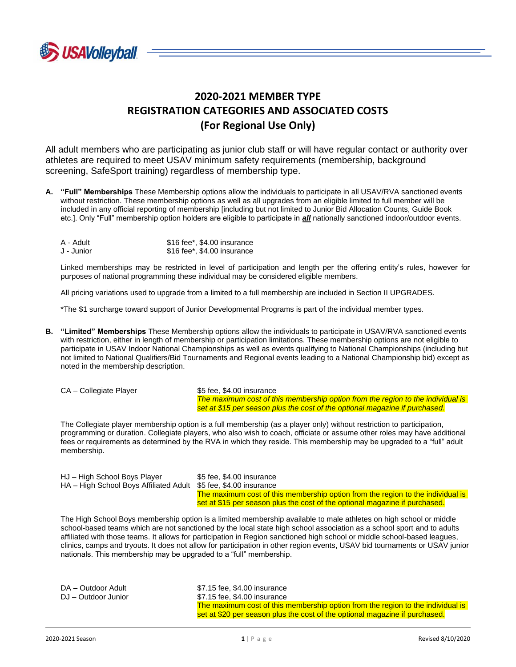

# **2020-2021 MEMBER TYPE REGISTRATION CATEGORIES AND ASSOCIATED COSTS (For Regional Use Only)**

All adult members who are participating as junior club staff or will have regular contact or authority over athletes are required to meet USAV minimum safety requirements (membership, background screening, SafeSport training) regardless of membership type.

**A. "Full" Memberships** These Membership options allow the individuals to participate in all USAV/RVA sanctioned events without restriction. These membership options as well as all upgrades from an eligible limited to full member will be included in any official reporting of membership [including but not limited to Junior Bid Allocation Counts, Guide Book etc.]. Only "Full" membership option holders are eligible to participate in *all* nationally sanctioned indoor/outdoor events.

| A - Adult  | \$16 fee*, \$4.00 insurance |
|------------|-----------------------------|
| J - Junior | \$16 fee*, \$4.00 insurance |

Linked memberships may be restricted in level of participation and length per the offering entity's rules, however for purposes of national programming these individual may be considered eligible members.

All pricing variations used to upgrade from a limited to a full membership are included in Section II UPGRADES.

\*The \$1 surcharge toward support of Junior Developmental Programs is part of the individual member types.

**B. "Limited" Memberships** These Membership options allow the individuals to participate in USAV/RVA sanctioned events with restriction, either in length of membership or participation limitations. These membership options are not eligible to participate in USAV Indoor National Championships as well as events qualifying to National Championships (including but not limited to National Qualifiers/Bid Tournaments and Regional events leading to a National Championship bid) except as noted in the membership description.

```
CA – Collegiate Player $5 fee, $4.00 insurance
```
*The maximum cost of this membership option from the region to the individual is set at \$15 per season plus the cost of the optional magazine if purchased.*

The Collegiate player membership option is a full membership (as a player only) without restriction to participation, programming or duration. Collegiate players, who also wish to coach, officiate or assume other roles may have additional fees or requirements as determined by the RVA in which they reside. This membership may be upgraded to a "full" adult membership.

| HJ – High School Boys Player         |  |
|--------------------------------------|--|
| HA - High School Boys Affiliated Adu |  |

\$5 fee, \$4.00 insurance It \$5 fee, \$4.00 insurance The maximum cost of this membership option from the region to the individual is set at \$15 per season plus the cost of the optional magazine if purchased.

The High School Boys membership option is a limited membership available to male athletes on high school or middle school-based teams which are not sanctioned by the local state high school association as a school sport and to adults affiliated with those teams. It allows for participation in Region sanctioned high school or middle school-based leagues, clinics, camps and tryouts. It does not allow for participation in other region events, USAV bid tournaments or USAV junior nationals. This membership may be upgraded to a "full" membership.

| DA – Outdoor Adult<br>DJ – Outdoor Junior | \$7.15 fee, \$4.00 insurance<br>\$7.15 fee, \$4.00 insurance                                                                                                   |
|-------------------------------------------|----------------------------------------------------------------------------------------------------------------------------------------------------------------|
|                                           | The maximum cost of this membership option from the region to the individual is<br>set at \$20 per season plus the cost of the optional magazine if purchased. |
|                                           |                                                                                                                                                                |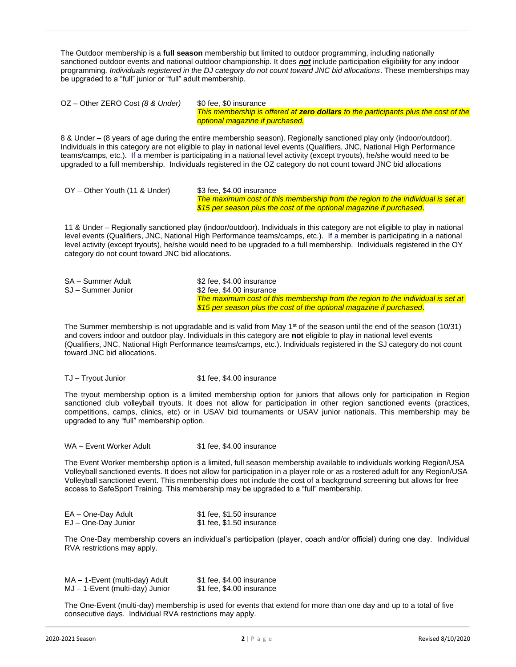The Outdoor membership is a **full season** membership but limited to outdoor programming, including nationally sanctioned outdoor events and national outdoor championship. It does *not* include participation eligibility for any indoor programming*. Individuals registered in the DJ category do not count toward JNC bid allocations*. These memberships may be upgraded to a "full" junior or "full" adult membership.

OZ – Other ZERO Cost (8 & Under) \$0 fee, \$0 insurance *This membership is offered at zero dollars to the participants plus the cost of the optional magazine if purchased.*

8 & Under – (8 years of age during the entire membership season). Regionally sanctioned play only (indoor/outdoor). Individuals in this category are not eligible to play in national level events (Qualifiers, JNC, National High Performance teams/camps, etc.). If a member is participating in a national level activity (except tryouts), he/she would need to be upgraded to a full membership. Individuals registered in the OZ category do not count toward JNC bid allocations

OY – Other Youth (11 & Under) \$3 fee, \$4.00 insurance

*The maximum cost of this membership from the region to the individual is set at \$15 per season plus the cost of the optional magazine if purchased*.

11 & Under – Regionally sanctioned play (indoor/outdoor). Individuals in this category are not eligible to play in national level events (Qualifiers, JNC, National High Performance teams/camps, etc.). If a member is participating in a national level activity (except tryouts), he/she would need to be upgraded to a full membership. Individuals registered in the OY category do not count toward JNC bid allocations.

| SA - Summer Adult  | \$2 fee, \$4.00 insurance                                                       |
|--------------------|---------------------------------------------------------------------------------|
| SJ – Summer Junior | \$2 fee. \$4.00 insurance                                                       |
|                    | The maximum cost of this membership from the region to the individual is set at |
|                    | \$15 per season plus the cost of the optional magazine if purchased.            |

The Summer membership is not upgradable and is valid from May  $1<sup>st</sup>$  of the season until the end of the season (10/31) and covers indoor and outdoor play. Individuals in this category are **not** eligible to play in national level events (Qualifiers, JNC, National High Performance teams/camps, etc.). Individuals registered in the SJ category do not count toward JNC bid allocations.

#### TJ – Tryout Junior **\$1 fee, \$4.00 insurance**

The tryout membership option is a limited membership option for juniors that allows only for participation in Region sanctioned club volleyball tryouts. It does not allow for participation in other region sanctioned events (practices, competitions, camps, clinics, etc) or in USAV bid tournaments or USAV junior nationals. This membership may be upgraded to any "full" membership option.

WA – Event Worker Adult **\$1** fee, \$4.00 insurance

The Event Worker membership option is a limited, full season membership available to individuals working Region/USA Volleyball sanctioned events. It does not allow for participation in a player role or as a rostered adult for any Region/USA Volleyball sanctioned event. This membership does not include the cost of a background screening but allows for free access to SafeSport Training. This membership may be upgraded to a "full" membership.

| EA - One-Day Adult  | \$1 fee, \$1.50 insurance |
|---------------------|---------------------------|
| EJ - One-Day Junior | \$1 fee, \$1.50 insurance |

The One-Day membership covers an individual's participation (player, coach and/or official) during one day. Individual RVA restrictions may apply.

| MA - 1-Event (multi-day) Adult  | \$1 fee, \$4.00 insurance |
|---------------------------------|---------------------------|
| MJ - 1-Event (multi-day) Junior | \$1 fee, \$4.00 insurance |

The One-Event (multi-day) membership is used for events that extend for more than one day and up to a total of five consecutive days. Individual RVA restrictions may apply.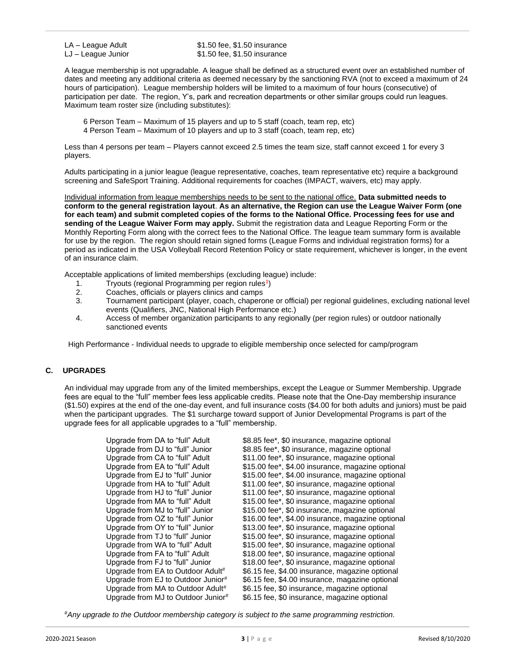LA – League Adult \$1.50 fee, \$1.50 insurance LJ – League Junior  $$1.50$  fee, \$1.50 insurance

A league membership is not upgradable. A league shall be defined as a structured event over an established number of dates and meeting any additional criteria as deemed necessary by the sanctioning RVA (not to exceed a maximum of 24 hours of participation). League membership holders will be limited to a maximum of four hours (consecutive) of participation per date. The region, Y's, park and recreation departments or other similar groups could run leagues. Maximum team roster size (including substitutes):

6 Person Team – Maximum of 15 players and up to 5 staff (coach, team rep, etc)

4 Person Team – Maximum of 10 players and up to 3 staff (coach, team rep, etc)

Less than 4 persons per team – Players cannot exceed 2.5 times the team size, staff cannot exceed 1 for every 3 players.

Adults participating in a junior league (league representative, coaches, team representative etc) require a background screening and SafeSport Training. Additional requirements for coaches (IMPACT, waivers, etc) may apply.

Individual information from league memberships needs to be sent to the national office. **Data submitted needs to conform to the general registration layout**. **As an alternative, the Region can use the League Waiver Form (one for each team) and submit completed copies of the forms to the National Office. Processing fees for use and sending of the League Waiver Form may apply.** Submit the registration data and League Reporting Form or the Monthly Reporting Form along with the correct fees to the National Office. The league team summary form is available for use by the region. The region should retain signed forms (League Forms and individual registration forms) for a period as indicated in the USA Volleyball Record Retention Policy or state requirement, whichever is longer, in the event of an insurance claim.

Acceptable applications of limited memberships (excluding league) include:

- 1. Tryouts (regional Programming per region rules<sup>1</sup>)
- 2. Coaches, officials or players clinics and camps<br>3. Tournament participant (player, coach, chapero
- 3. Tournament participant (player, coach, chaperone or official) per regional guidelines, excluding national level events (Qualifiers, JNC, National High Performance etc.)
- 4. Access of member organization participants to any regionally (per region rules) or outdoor nationally sanctioned events

High Performance - Individual needs to upgrade to eligible membership once selected for camp/program

# **C. UPGRADES**

An individual may upgrade from any of the limited memberships, except the League or Summer Membership. Upgrade fees are equal to the "full" member fees less applicable credits. Please note that the One-Day membership insurance (\$1.50) expires at the end of the one-day event, and full insurance costs (\$4.00 for both adults and juniors) must be paid when the participant upgrades. The \$1 surcharge toward support of Junior Developmental Programs is part of the upgrade fees for all applicable upgrades to a "full" membership.

| Upgrade from DA to "full" Adult    | \$8.85 fee*, \$0 insurance, magazine optional     |
|------------------------------------|---------------------------------------------------|
| Upgrade from DJ to "full" Junior   | \$8.85 fee*, \$0 insurance, magazine optional     |
| Upgrade from CA to "full" Adult    | \$11.00 fee*, \$0 insurance, magazine optional    |
| Upgrade from EA to "full" Adult    | \$15.00 fee*, \$4.00 insurance, magazine optional |
| Upgrade from EJ to "full" Junior   | \$15.00 fee*, \$4.00 insurance, magazine optional |
| Upgrade from HA to "full" Adult    | \$11.00 fee*, \$0 insurance, magazine optional    |
| Upgrade from HJ to "full" Junior   | \$11.00 fee*, \$0 insurance, magazine optional    |
| Upgrade from MA to "full" Adult    | \$15.00 fee*, \$0 insurance, magazine optional    |
| Upgrade from MJ to "full" Junior   | \$15.00 fee*, \$0 insurance, magazine optional    |
| Upgrade from OZ to "full" Junior   | \$16.00 fee*, \$4.00 insurance, magazine optional |
| Upgrade from OY to "full" Junior   | \$13.00 fee*, \$0 insurance, magazine optional    |
| Upgrade from TJ to "full" Junior   | \$15.00 fee*, \$0 insurance, magazine optional    |
| Upgrade from WA to "full" Adult    | \$15.00 fee*, \$0 insurance, magazine optional    |
| Upgrade from FA to "full" Adult    | \$18.00 fee*, \$0 insurance, magazine optional    |
| Upgrade from FJ to "full" Junior   | \$18.00 fee*, \$0 insurance, magazine optional    |
| Upgrade from EA to Outdoor Adult#  | \$6.15 fee, \$4.00 insurance, magazine optional   |
| Upgrade from EJ to Outdoor Junior# | \$6.15 fee, \$4.00 insurance, magazine optional   |
| Upgrade from MA to Outdoor Adult#  | \$6.15 fee, \$0 insurance, magazine optional      |
| Upgrade from MJ to Outdoor Junior# | \$6.15 fee, \$0 insurance, magazine optional      |

#*Any upgrade to the Outdoor membership category is subject to the same programming restriction.*